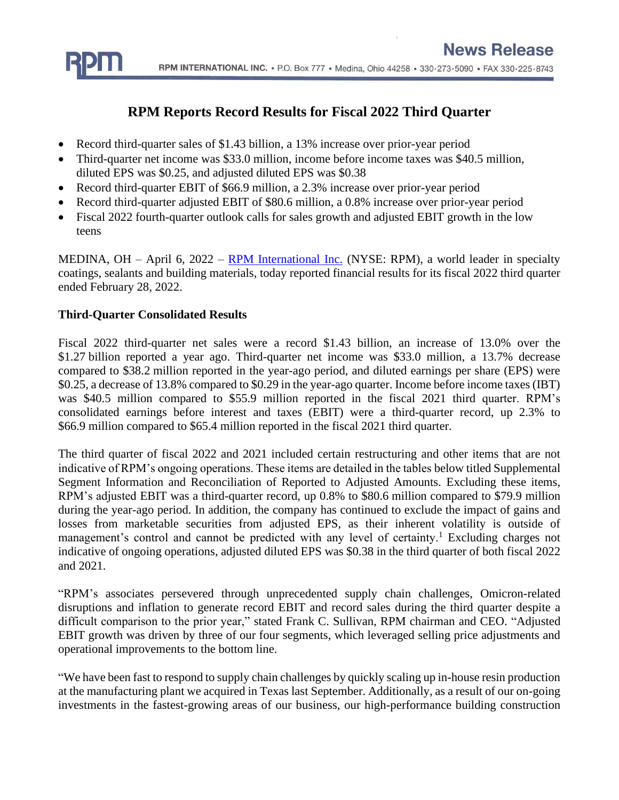

## **RPM Reports Record Results for Fiscal 2022 Third Quarter**

- Record third-quarter sales of \$1.43 billion, a 13% increase over prior-year period
- Third-quarter net income was \$33.0 million, income before income taxes was \$40.5 million, diluted EPS was \$0.25, and adjusted diluted EPS was \$0.38
- Record third-quarter EBIT of \$66.9 million, a 2.3% increase over prior-year period
- Record third-quarter adjusted EBIT of \$80.6 million, a 0.8% increase over prior-year period
- Fiscal 2022 fourth-quarter outlook calls for sales growth and adjusted EBIT growth in the low teens

MEDINA, OH – April 6, 2022 – [RPM International Inc.](http://www.rpminc.com/) (NYSE: RPM), a world leader in specialty coatings, sealants and building materials, today reported financial results for its fiscal 2022 third quarter ended February 28, 2022.

### **Third-Quarter Consolidated Results**

Fiscal 2022 third-quarter net sales were a record \$1.43 billion, an increase of 13.0% over the \$1.27 billion reported a year ago. Third-quarter net income was \$33.0 million, a 13.7% decrease compared to \$38.2 million reported in the year-ago period, and diluted earnings per share (EPS) were \$0.25, a decrease of 13.8% compared to \$0.29 in the year-ago quarter. Income before income taxes (IBT) was \$40.5 million compared to \$55.9 million reported in the fiscal 2021 third quarter. RPM's consolidated earnings before interest and taxes (EBIT) were a third-quarter record, up 2.3% to \$66.9 million compared to \$65.4 million reported in the fiscal 2021 third quarter.

The third quarter of fiscal 2022 and 2021 included certain restructuring and other items that are not indicative of RPM's ongoing operations. These items are detailed in the tables below titled Supplemental Segment Information and Reconciliation of Reported to Adjusted Amounts. Excluding these items, RPM's adjusted EBIT was a third-quarter record, up 0.8% to \$80.6 million compared to \$79.9 million during the year-ago period. In addition, the company has continued to exclude the impact of gains and losses from marketable securities from adjusted EPS, as their inherent volatility is outside of management's control and cannot be predicted with any level of certainty.<sup>1</sup> Excluding charges not indicative of ongoing operations, adjusted diluted EPS was \$0.38 in the third quarter of both fiscal 2022 and 2021.

"RPM's associates persevered through unprecedented supply chain challenges, Omicron-related disruptions and inflation to generate record EBIT and record sales during the third quarter despite a difficult comparison to the prior year," stated Frank C. Sullivan, RPM chairman and CEO. "Adjusted EBIT growth was driven by three of our four segments, which leveraged selling price adjustments and operational improvements to the bottom line.

"We have been fast to respond to supply chain challenges by quickly scaling up in-house resin production at the manufacturing plant we acquired in Texas last September. Additionally, as a result of our on-going investments in the fastest-growing areas of our business, our high-performance building construction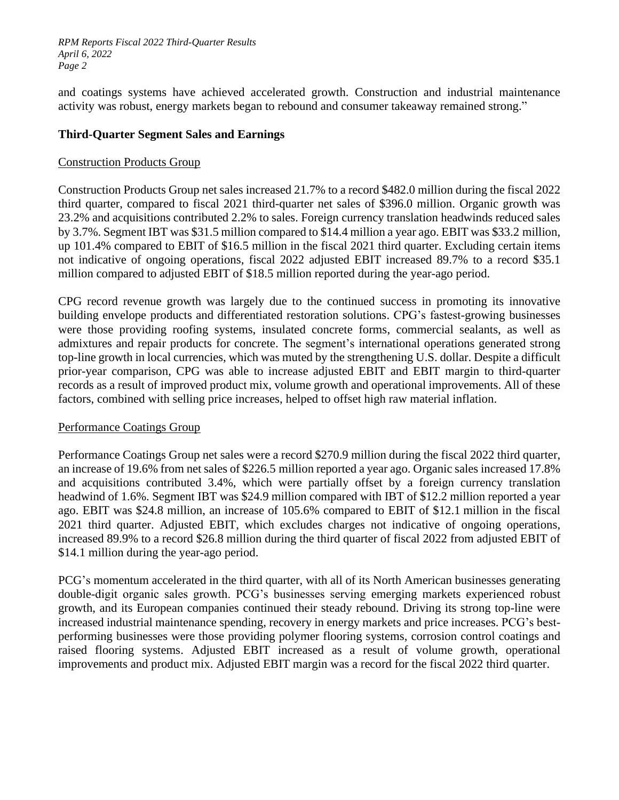and coatings systems have achieved accelerated growth. Construction and industrial maintenance activity was robust, energy markets began to rebound and consumer takeaway remained strong."

### **Third-Quarter Segment Sales and Earnings**

### Construction Products Group

Construction Products Group net sales increased 21.7% to a record \$482.0 million during the fiscal 2022 third quarter, compared to fiscal 2021 third-quarter net sales of \$396.0 million. Organic growth was 23.2% and acquisitions contributed 2.2% to sales. Foreign currency translation headwinds reduced sales by 3.7%. Segment IBT was \$31.5 million compared to \$14.4 million a year ago. EBIT was \$33.2 million, up 101.4% compared to EBIT of \$16.5 million in the fiscal 2021 third quarter. Excluding certain items not indicative of ongoing operations, fiscal 2022 adjusted EBIT increased 89.7% to a record \$35.1 million compared to adjusted EBIT of \$18.5 million reported during the year-ago period.

CPG record revenue growth was largely due to the continued success in promoting its innovative building envelope products and differentiated restoration solutions. CPG's fastest-growing businesses were those providing roofing systems, insulated concrete forms, commercial sealants, as well as admixtures and repair products for concrete. The segment's international operations generated strong top-line growth in local currencies, which was muted by the strengthening U.S. dollar. Despite a difficult prior-year comparison, CPG was able to increase adjusted EBIT and EBIT margin to third-quarter records as a result of improved product mix, volume growth and operational improvements. All of these factors, combined with selling price increases, helped to offset high raw material inflation.

### Performance Coatings Group

Performance Coatings Group net sales were a record \$270.9 million during the fiscal 2022 third quarter, an increase of 19.6% from net sales of \$226.5 million reported a year ago. Organic sales increased 17.8% and acquisitions contributed 3.4%, which were partially offset by a foreign currency translation headwind of 1.6%. Segment IBT was \$24.9 million compared with IBT of \$12.2 million reported a year ago. EBIT was \$24.8 million, an increase of 105.6% compared to EBIT of \$12.1 million in the fiscal 2021 third quarter. Adjusted EBIT, which excludes charges not indicative of ongoing operations, increased 89.9% to a record \$26.8 million during the third quarter of fiscal 2022 from adjusted EBIT of \$14.1 million during the year-ago period.

PCG's momentum accelerated in the third quarter, with all of its North American businesses generating double-digit organic sales growth. PCG's businesses serving emerging markets experienced robust growth, and its European companies continued their steady rebound. Driving its strong top-line were increased industrial maintenance spending, recovery in energy markets and price increases. PCG's bestperforming businesses were those providing polymer flooring systems, corrosion control coatings and raised flooring systems. Adjusted EBIT increased as a result of volume growth, operational improvements and product mix. Adjusted EBIT margin was a record for the fiscal 2022 third quarter.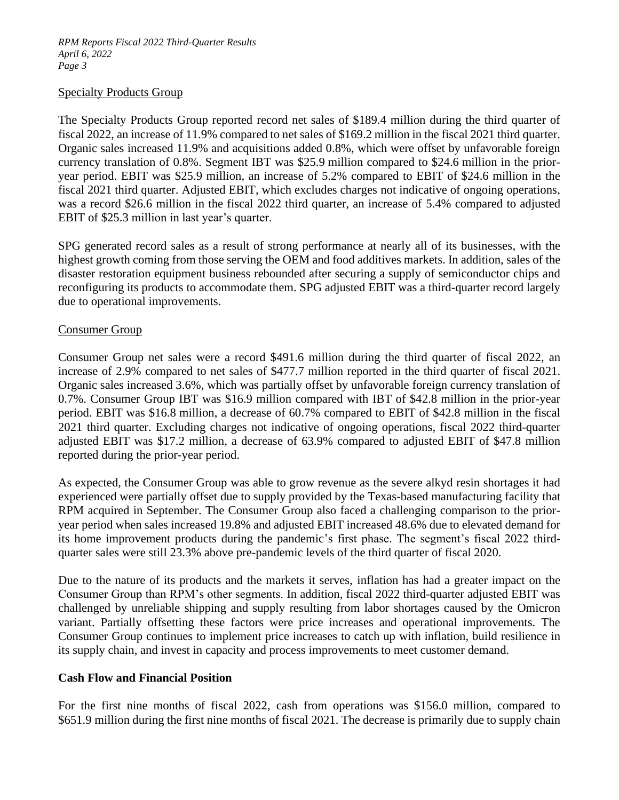### Specialty Products Group

The Specialty Products Group reported record net sales of \$189.4 million during the third quarter of fiscal 2022, an increase of 11.9% compared to net sales of \$169.2 million in the fiscal 2021 third quarter. Organic sales increased 11.9% and acquisitions added 0.8%, which were offset by unfavorable foreign currency translation of 0.8%. Segment IBT was \$25.9 million compared to \$24.6 million in the prioryear period. EBIT was \$25.9 million, an increase of 5.2% compared to EBIT of \$24.6 million in the fiscal 2021 third quarter. Adjusted EBIT, which excludes charges not indicative of ongoing operations, was a record \$26.6 million in the fiscal 2022 third quarter, an increase of 5.4% compared to adjusted EBIT of \$25.3 million in last year's quarter.

SPG generated record sales as a result of strong performance at nearly all of its businesses, with the highest growth coming from those serving the OEM and food additives markets. In addition, sales of the disaster restoration equipment business rebounded after securing a supply of semiconductor chips and reconfiguring its products to accommodate them. SPG adjusted EBIT was a third-quarter record largely due to operational improvements.

### Consumer Group

Consumer Group net sales were a record \$491.6 million during the third quarter of fiscal 2022, an increase of 2.9% compared to net sales of \$477.7 million reported in the third quarter of fiscal 2021. Organic sales increased 3.6%, which was partially offset by unfavorable foreign currency translation of 0.7%. Consumer Group IBT was \$16.9 million compared with IBT of \$42.8 million in the prior-year period. EBIT was \$16.8 million, a decrease of 60.7% compared to EBIT of \$42.8 million in the fiscal 2021 third quarter. Excluding charges not indicative of ongoing operations, fiscal 2022 third-quarter adjusted EBIT was \$17.2 million, a decrease of 63.9% compared to adjusted EBIT of \$47.8 million reported during the prior-year period.

As expected, the Consumer Group was able to grow revenue as the severe alkyd resin shortages it had experienced were partially offset due to supply provided by the Texas-based manufacturing facility that RPM acquired in September. The Consumer Group also faced a challenging comparison to the prioryear period when sales increased 19.8% and adjusted EBIT increased 48.6% due to elevated demand for its home improvement products during the pandemic's first phase. The segment's fiscal 2022 thirdquarter sales were still 23.3% above pre-pandemic levels of the third quarter of fiscal 2020.

Due to the nature of its products and the markets it serves, inflation has had a greater impact on the Consumer Group than RPM's other segments. In addition, fiscal 2022 third-quarter adjusted EBIT was challenged by unreliable shipping and supply resulting from labor shortages caused by the Omicron variant. Partially offsetting these factors were price increases and operational improvements. The Consumer Group continues to implement price increases to catch up with inflation, build resilience in its supply chain, and invest in capacity and process improvements to meet customer demand.

### **Cash Flow and Financial Position**

For the first nine months of fiscal 2022, cash from operations was \$156.0 million, compared to \$651.9 million during the first nine months of fiscal 2021. The decrease is primarily due to supply chain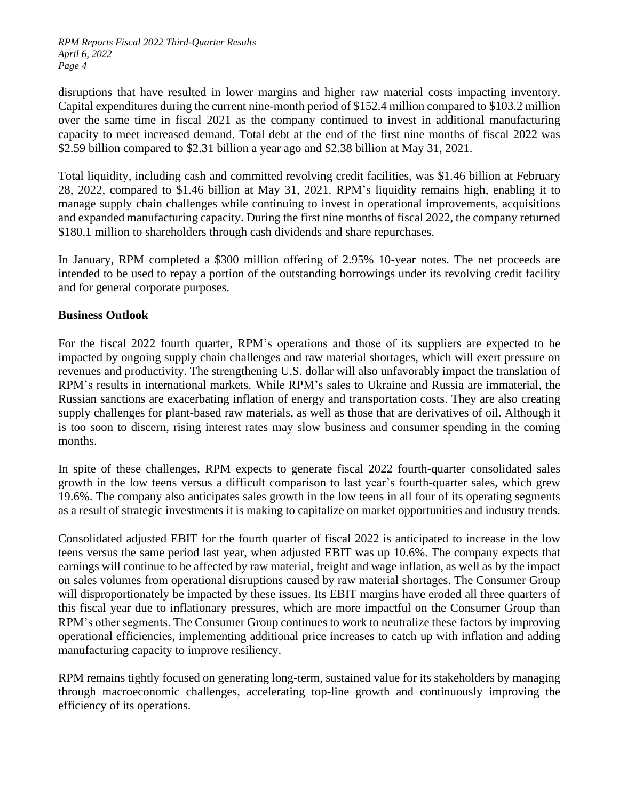disruptions that have resulted in lower margins and higher raw material costs impacting inventory. Capital expenditures during the current nine-month period of \$152.4 million compared to \$103.2 million over the same time in fiscal 2021 as the company continued to invest in additional manufacturing capacity to meet increased demand. Total debt at the end of the first nine months of fiscal 2022 was \$2.59 billion compared to \$2.31 billion a year ago and \$2.38 billion at May 31, 2021.

Total liquidity, including cash and committed revolving credit facilities, was \$1.46 billion at February 28, 2022, compared to \$1.46 billion at May 31, 2021. RPM's liquidity remains high, enabling it to manage supply chain challenges while continuing to invest in operational improvements, acquisitions and expanded manufacturing capacity. During the first nine months of fiscal 2022, the company returned \$180.1 million to shareholders through cash dividends and share repurchases.

In January, RPM completed a \$300 million offering of 2.95% 10-year notes. The net proceeds are intended to be used to repay a portion of the outstanding borrowings under its revolving credit facility and for general corporate purposes.

### **Business Outlook**

For the fiscal 2022 fourth quarter, RPM's operations and those of its suppliers are expected to be impacted by ongoing supply chain challenges and raw material shortages, which will exert pressure on revenues and productivity. The strengthening U.S. dollar will also unfavorably impact the translation of RPM's results in international markets. While RPM's sales to Ukraine and Russia are immaterial, the Russian sanctions are exacerbating inflation of energy and transportation costs. They are also creating supply challenges for plant-based raw materials, as well as those that are derivatives of oil. Although it is too soon to discern, rising interest rates may slow business and consumer spending in the coming months.

In spite of these challenges, RPM expects to generate fiscal 2022 fourth-quarter consolidated sales growth in the low teens versus a difficult comparison to last year's fourth-quarter sales, which grew 19.6%. The company also anticipates sales growth in the low teens in all four of its operating segments as a result of strategic investments it is making to capitalize on market opportunities and industry trends.

Consolidated adjusted EBIT for the fourth quarter of fiscal 2022 is anticipated to increase in the low teens versus the same period last year, when adjusted EBIT was up 10.6%. The company expects that earnings will continue to be affected by raw material, freight and wage inflation, as well as by the impact on sales volumes from operational disruptions caused by raw material shortages. The Consumer Group will disproportionately be impacted by these issues. Its EBIT margins have eroded all three quarters of this fiscal year due to inflationary pressures, which are more impactful on the Consumer Group than RPM's other segments. The Consumer Group continues to work to neutralize these factors by improving operational efficiencies, implementing additional price increases to catch up with inflation and adding manufacturing capacity to improve resiliency.

RPM remains tightly focused on generating long-term, sustained value for its stakeholders by managing through macroeconomic challenges, accelerating top-line growth and continuously improving the efficiency of its operations.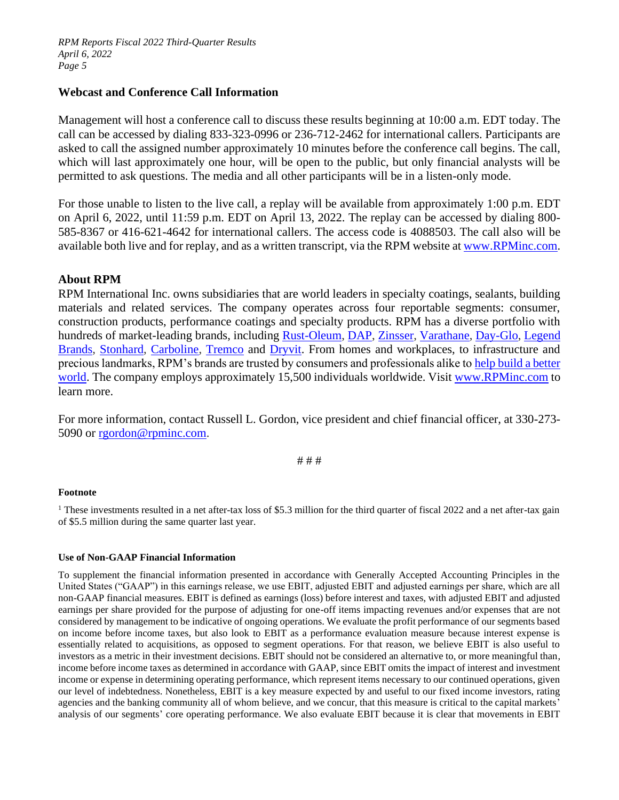### **Webcast and Conference Call Information**

Management will host a conference call to discuss these results beginning at 10:00 a.m. EDT today. The call can be accessed by dialing 833-323-0996 or 236-712-2462 for international callers. Participants are asked to call the assigned number approximately 10 minutes before the conference call begins. The call, which will last approximately one hour, will be open to the public, but only financial analysts will be permitted to ask questions. The media and all other participants will be in a listen-only mode.

For those unable to listen to the live call, a replay will be available from approximately 1:00 p.m. EDT on April 6, 2022, until 11:59 p.m. EDT on April 13, 2022. The replay can be accessed by dialing 800- 585-8367 or 416-621-4642 for international callers. The access code is 4088503. The call also will be available both live and for replay, and as a written transcript, via the RPM website at [www.RPMinc.com.](http://www.rpminc.com/)

### **About RPM**

RPM International Inc. owns subsidiaries that are world leaders in specialty coatings, sealants, building materials and related services. The company operates across four reportable segments: consumer, construction products, performance coatings and specialty products. RPM has a diverse portfolio with hundreds of market-leading brands, including [Rust-Oleum,](http://www.rustoleum.com/) [DAP,](http://www.dap.com/) [Zinsser,](https://www.rustoleum.com/product-catalog/consumer-brands/zinsser/) [Varathane,](https://www.rustoleum.com/product-catalog/consumer-brands/varathane/) [Day-Glo,](http://www.dayglo.com/) [Legend](http://www.legendbrands.com/)  [Brands,](http://www.legendbrands.com/) [Stonhard,](http://www.stonhard.com/) [Carboline,](http://www.carboline.com/) [Tremco](http://www.tremcoinc.com/) and [Dryvit.](http://www.dryvit.com/) From homes and workplaces, to infrastructure and precious landmarks, RPM's brands are trusted by consumers and professionals alike t[o help build a better](https://www.rpminc.com/esg/)  [world.](https://www.rpminc.com/esg/) The company employs approximately 15,500 individuals worldwide. Visi[t www.RPMinc.com](http://www.rpminc.com/) to learn more.

For more information, contact Russell L. Gordon, vice president and chief financial officer, at 330-273- 5090 or [rgordon@rpminc.com.](mailto:rgordon@rpminc.com)

# # #

#### **Footnote**

<sup>1</sup> These investments resulted in a net after-tax loss of \$5.3 million for the third quarter of fiscal 2022 and a net after-tax gain of \$5.5 million during the same quarter last year.

#### **Use of Non-GAAP Financial Information**

To supplement the financial information presented in accordance with Generally Accepted Accounting Principles in the United States ("GAAP") in this earnings release, we use EBIT, adjusted EBIT and adjusted earnings per share, which are all non-GAAP financial measures. EBIT is defined as earnings (loss) before interest and taxes, with adjusted EBIT and adjusted earnings per share provided for the purpose of adjusting for one-off items impacting revenues and/or expenses that are not considered by management to be indicative of ongoing operations. We evaluate the profit performance of our segments based on income before income taxes, but also look to EBIT as a performance evaluation measure because interest expense is essentially related to acquisitions, as opposed to segment operations. For that reason, we believe EBIT is also useful to investors as a metric in their investment decisions. EBIT should not be considered an alternative to, or more meaningful than, income before income taxes as determined in accordance with GAAP, since EBIT omits the impact of interest and investment income or expense in determining operating performance, which represent items necessary to our continued operations, given our level of indebtedness. Nonetheless, EBIT is a key measure expected by and useful to our fixed income investors, rating agencies and the banking community all of whom believe, and we concur, that this measure is critical to the capital markets' analysis of our segments' core operating performance. We also evaluate EBIT because it is clear that movements in EBIT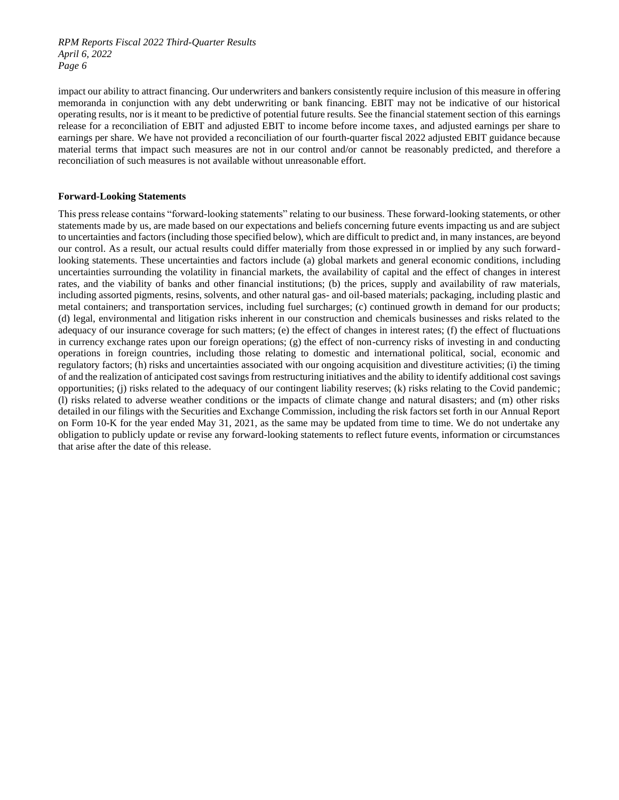impact our ability to attract financing. Our underwriters and bankers consistently require inclusion of this measure in offering memoranda in conjunction with any debt underwriting or bank financing. EBIT may not be indicative of our historical operating results, nor is it meant to be predictive of potential future results. See the financial statement section of this earnings release for a reconciliation of EBIT and adjusted EBIT to income before income taxes, and adjusted earnings per share to earnings per share. We have not provided a reconciliation of our fourth-quarter fiscal 2022 adjusted EBIT guidance because material terms that impact such measures are not in our control and/or cannot be reasonably predicted, and therefore a reconciliation of such measures is not available without unreasonable effort.

#### **Forward-Looking Statements**

This press release contains "forward-looking statements" relating to our business. These forward-looking statements, or other statements made by us, are made based on our expectations and beliefs concerning future events impacting us and are subject to uncertainties and factors (including those specified below), which are difficult to predict and, in many instances, are beyond our control. As a result, our actual results could differ materially from those expressed in or implied by any such forwardlooking statements. These uncertainties and factors include (a) global markets and general economic conditions, including uncertainties surrounding the volatility in financial markets, the availability of capital and the effect of changes in interest rates, and the viability of banks and other financial institutions; (b) the prices, supply and availability of raw materials, including assorted pigments, resins, solvents, and other natural gas- and oil-based materials; packaging, including plastic and metal containers; and transportation services, including fuel surcharges; (c) continued growth in demand for our products; (d) legal, environmental and litigation risks inherent in our construction and chemicals businesses and risks related to the adequacy of our insurance coverage for such matters; (e) the effect of changes in interest rates; (f) the effect of fluctuations in currency exchange rates upon our foreign operations; (g) the effect of non-currency risks of investing in and conducting operations in foreign countries, including those relating to domestic and international political, social, economic and regulatory factors; (h) risks and uncertainties associated with our ongoing acquisition and divestiture activities; (i) the timing of and the realization of anticipated cost savings from restructuring initiatives and the ability to identify additional cost savings opportunities; (j) risks related to the adequacy of our contingent liability reserves; (k) risks relating to the Covid pandemic; (l) risks related to adverse weather conditions or the impacts of climate change and natural disasters; and (m) other risks detailed in our filings with the Securities and Exchange Commission, including the risk factors set forth in our Annual Report on Form 10-K for the year ended May 31, 2021, as the same may be updated from time to time. We do not undertake any obligation to publicly update or revise any forward-looking statements to reflect future events, information or circumstances that arise after the date of this release.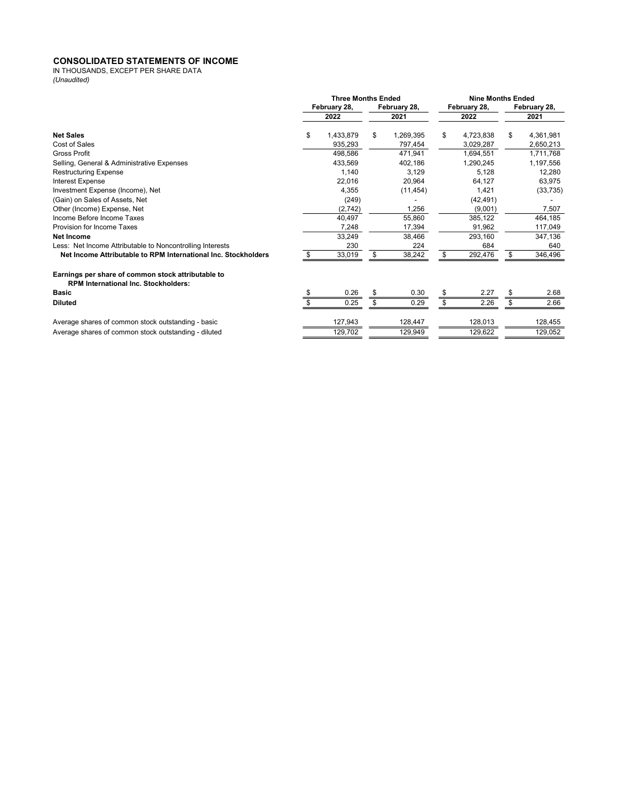#### CONSOLIDATED STATEMENTS OF INCOME

IN THOUSANDS, EXCEPT PER SHARE DATA (Unaudited)

|                                                                                                   | <b>Three Months Ended</b> |                    |         | <b>Nine Months Ended</b> |         |              |              |           |  |
|---------------------------------------------------------------------------------------------------|---------------------------|--------------------|---------|--------------------------|---------|--------------|--------------|-----------|--|
|                                                                                                   |                           | February 28,       |         | February 28,             |         | February 28, | February 28, |           |  |
|                                                                                                   |                           | 2022               | 2021    |                          | 2022    |              | 2021         |           |  |
| <b>Net Sales</b>                                                                                  | \$                        | 1,433,879          | \$      | 1,269,395                | \$      | 4,723,838    | \$           | 4,361,981 |  |
| Cost of Sales                                                                                     |                           | 935,293            |         | 797,454                  |         | 3,029,287    |              | 2,650,213 |  |
| Gross Profit                                                                                      |                           | 498.586            |         | 471.941                  |         | 1.694.551    |              | 1,711,768 |  |
| Selling, General & Administrative Expenses                                                        | 433,569                   |                    |         | 402,186                  |         | 1,290,245    |              | 1,197,556 |  |
| <b>Restructuring Expense</b>                                                                      |                           | 1.140              |         | 3,129                    |         | 5.128        | 12,280       |           |  |
| Interest Expense                                                                                  |                           | 22,016             |         | 20,964                   |         | 64,127       |              | 63,975    |  |
| Investment Expense (Income), Net                                                                  |                           | 4,355              |         | (11, 454)                |         | 1,421        |              | (33, 735) |  |
| (Gain) on Sales of Assets, Net                                                                    |                           | (249)              |         |                          |         | (42, 491)    |              |           |  |
| Other (Income) Expense, Net                                                                       |                           | (2,742)            |         | 1,256                    |         | (9,001)      |              | 7,507     |  |
| Income Before Income Taxes                                                                        |                           | 40,497             |         | 55,860                   |         | 385,122      |              | 464,185   |  |
| Provision for Income Taxes                                                                        |                           | 7,248              |         | 17,394                   |         | 91,962       |              | 117,049   |  |
| Net Income                                                                                        |                           | 33,249             |         | 38,466                   |         | 293,160      |              | 347,136   |  |
| Less: Net Income Attributable to Noncontrolling Interests                                         |                           | 230                |         | 224                      |         | 684          |              | 640       |  |
| Net Income Attributable to RPM International Inc. Stockholders                                    | S                         | 33,019             |         | 38,242                   | \$      | 292,476      |              | 346,496   |  |
| Earnings per share of common stock attributable to<br><b>RPM International Inc. Stockholders:</b> |                           |                    |         |                          |         |              |              |           |  |
| <b>Basic</b>                                                                                      |                           | 0.26               | S       | 0.30                     | \$      | 2.27         | S            | 2.68      |  |
| <b>Diluted</b>                                                                                    |                           | 0.25               | \$      | 0.29                     | \$      | 2.26         | \$           | 2.66      |  |
| Average shares of common stock outstanding - basic                                                |                           | 127,943            | 128,447 |                          | 128,013 |              |              | 128,455   |  |
| Average shares of common stock outstanding - diluted                                              |                           | 129,702<br>129,949 |         |                          | 129,622 |              |              | 129,052   |  |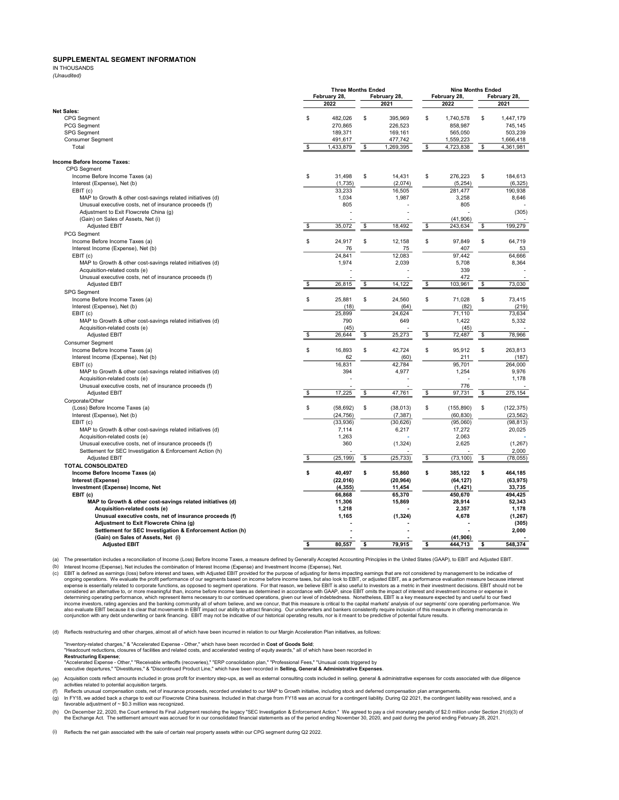#### SUPPLEMENTAL SEGMENT INFORMATION

IN THOUSANDS (Unaudited)

|                                                                                    | <b>Three Months Ended</b><br>February 28,<br>February 28, |                                          |    | <b>Nine Months Ended</b><br>February 28,<br>February 28, |    |                                              |              |                                              |
|------------------------------------------------------------------------------------|-----------------------------------------------------------|------------------------------------------|----|----------------------------------------------------------|----|----------------------------------------------|--------------|----------------------------------------------|
|                                                                                    |                                                           | 2022                                     |    | 2021                                                     |    | 2022                                         |              | 2021                                         |
| <b>Net Sales:</b>                                                                  |                                                           |                                          |    |                                                          |    |                                              |              |                                              |
| <b>CPG</b> Segment<br>PCG Segment<br><b>SPG Segment</b><br><b>Consumer Segment</b> | \$                                                        | 482,026<br>270,865<br>189,371<br>491,617 | \$ | 395,969<br>226,523<br>169,161<br>477,742                 | \$ | 1,740,578<br>858,987<br>565,050<br>1,559,223 | $\mathbb{S}$ | 1,447,179<br>745,145<br>503,239<br>1,666,418 |
| Total                                                                              | \$                                                        | 1,433,879                                | \$ | 1,269,395                                                | \$ | 4,723,838                                    | \$           | 4,361,981                                    |
|                                                                                    |                                                           |                                          |    |                                                          |    |                                              |              |                                              |
| Income Before Income Taxes:                                                        |                                                           |                                          |    |                                                          |    |                                              |              |                                              |
| <b>CPG</b> Segment<br>Income Before Income Taxes (a)                               | \$                                                        | 31,498                                   | \$ | 14,431                                                   | \$ | 276,223                                      | \$           | 184,613                                      |
| Interest (Expense), Net (b)                                                        |                                                           | (1,735)                                  |    | (2,074)                                                  |    | (5, 254)                                     |              | (6, 325)                                     |
| EBIT(c)                                                                            |                                                           | 33,233                                   |    | 16,505                                                   |    | 281,477                                      |              | 190,938                                      |
| MAP to Growth & other cost-savings related initiatives (d)                         |                                                           | 1,034                                    |    | 1,987                                                    |    | 3,258                                        |              | 8,646                                        |
| Unusual executive costs, net of insurance proceeds (f)                             |                                                           | 805                                      |    |                                                          |    | 805                                          |              |                                              |
| Adjustment to Exit Flowcrete China (g)                                             |                                                           |                                          |    |                                                          |    |                                              |              | (305)                                        |
| (Gain) on Sales of Assets, Net (i)                                                 |                                                           |                                          |    |                                                          |    | (41,906)                                     |              |                                              |
| <b>Adjusted EBIT</b>                                                               | \$                                                        | 35,072                                   | \$ | 18,492                                                   | \$ | 243,634                                      | \$           | 199.279                                      |
| PCG Segment                                                                        |                                                           |                                          |    |                                                          |    |                                              |              |                                              |
| Income Before Income Taxes (a)                                                     | \$                                                        | 24,917                                   | \$ | 12,158                                                   | \$ | 97,849                                       | \$           | 64,719                                       |
| Interest Income (Expense), Net (b)                                                 |                                                           | 76                                       |    | 75                                                       |    | 407                                          |              | 53                                           |
| EBIT(c)                                                                            |                                                           | 24.841                                   |    | 12,083                                                   |    | 97.442                                       |              | 64.666                                       |
| MAP to Growth & other cost-savings related initiatives (d)                         |                                                           | 1,974                                    |    | 2,039                                                    |    | 5,708                                        |              | 8,364                                        |
| Acquisition-related costs (e)                                                      |                                                           |                                          |    |                                                          |    | 339                                          |              |                                              |
| Unusual executive costs, net of insurance proceeds (f)                             |                                                           |                                          |    |                                                          |    | 472                                          |              | $\overline{a}$                               |
| <b>Adjusted EBIT</b>                                                               | \$                                                        | 26,815                                   | \$ | 14,122                                                   | \$ | 103,961                                      | \$           | 73,030                                       |
| SPG Segment                                                                        |                                                           |                                          |    |                                                          |    |                                              |              |                                              |
| Income Before Income Taxes (a)                                                     | \$                                                        | 25.881                                   | \$ | 24.560                                                   | \$ | 71.028                                       | \$           | 73.415                                       |
| Interest (Expense), Net (b)                                                        |                                                           | (18)                                     |    | (64)                                                     |    | (82)                                         |              | (219)                                        |
| EBIT(c)                                                                            |                                                           | 25.899                                   |    | 24.624                                                   |    | 71.110                                       |              | 73.634                                       |
| MAP to Growth & other cost-savings related initiatives (d)                         |                                                           | 790                                      |    | 649                                                      |    | 1,422                                        |              | 5,332                                        |
| Acquisition-related costs (e)                                                      |                                                           | (45)                                     |    |                                                          |    | (45)                                         |              |                                              |
| Adjusted EBIT                                                                      | \$                                                        | 26,644                                   | \$ | 25,273                                                   | \$ | 72,487                                       | \$           | 78,966                                       |
| <b>Consumer Seament</b>                                                            |                                                           |                                          |    |                                                          |    |                                              |              |                                              |
| Income Before Income Taxes (a)                                                     | \$                                                        | 16,893                                   | \$ | 42,724                                                   | \$ | 95,912                                       | \$           | 263,813                                      |
| Interest Income (Expense), Net (b)                                                 |                                                           | 62                                       |    | (60)                                                     |    | 211                                          |              | (187)                                        |
| EBIT(c)                                                                            |                                                           | 16,831                                   |    | 42,784                                                   |    | 95,701                                       |              | 264,000                                      |
| MAP to Growth & other cost-savings related initiatives (d)                         |                                                           | 394                                      |    | 4,977                                                    |    | 1,254                                        |              | 9,976                                        |
| Acquisition-related costs (e)                                                      |                                                           |                                          |    |                                                          |    |                                              |              | 1,178                                        |
| Unusual executive costs, net of insurance proceeds (f)                             |                                                           | 17,225                                   |    |                                                          |    | 776                                          |              |                                              |
| <b>Adjusted EBIT</b>                                                               | \$                                                        |                                          | \$ | 47,761                                                   | \$ | 97,731                                       | \$           | 275,154                                      |
| Corporate/Other                                                                    |                                                           |                                          |    |                                                          |    |                                              |              |                                              |
| (Loss) Before Income Taxes (a)                                                     | \$                                                        | (58, 692)                                | \$ | (38, 013)                                                | \$ | (155, 890)                                   | \$           | (122, 375)                                   |
| Interest (Expense), Net (b)<br>EBIT(c)                                             |                                                           | (24, 756)<br>(33,936)                    |    | (7, 387)<br>(30, 626)                                    |    | (60, 830)<br>(95,060)                        |              | (23, 562)<br>(98, 813)                       |
| MAP to Growth & other cost-savings related initiatives (d)                         |                                                           | 7,114                                    |    | 6,217                                                    |    | 17,272                                       |              | 20,025                                       |
| Acquisition-related costs (e)                                                      |                                                           | 1,263                                    |    |                                                          |    | 2,063                                        |              |                                              |
| Unusual executive costs, net of insurance proceeds (f)                             |                                                           | 360                                      |    | (1, 324)                                                 |    | 2,625                                        |              | (1, 267)                                     |
| Settlement for SEC Investigation & Enforcement Action (h)                          |                                                           |                                          |    |                                                          |    |                                              |              | 2,000                                        |
| <b>Adjusted EBIT</b>                                                               | \$                                                        | (25, 199)                                | \$ | (25, 733)                                                | \$ | (73, 100)                                    | \$           | (78, 055)                                    |
| <b>TOTAL CONSOLIDATED</b>                                                          |                                                           |                                          |    |                                                          |    |                                              |              |                                              |
| Income Before Income Taxes (a)                                                     | \$                                                        | 40,497                                   | \$ | 55,860                                                   | \$ | 385,122                                      | \$           | 464,185                                      |
| Interest (Expense)                                                                 |                                                           | (22, 016)                                |    | (20, 964)                                                |    | (64, 127)                                    |              | (63, 975)                                    |
| Investment (Expense) Income, Net                                                   |                                                           | (4, 355)                                 |    | 11,454                                                   |    | (1, 421)                                     |              | 33,735                                       |
| EBIT (c)                                                                           |                                                           | 66,868                                   |    | 65,370                                                   |    | 450,670                                      |              | 494,425                                      |
| MAP to Growth & other cost-savings related initiatives (d)                         |                                                           | 11,306                                   |    | 15,869                                                   |    | 28.914                                       |              | 52.343                                       |
| Acquisition-related costs (e)                                                      |                                                           | 1,218                                    |    |                                                          |    | 2,357                                        |              | 1,178                                        |
| Unusual executive costs, net of insurance proceeds (f)                             |                                                           | 1,165                                    |    | (1, 324)                                                 |    | 4,678                                        |              | (1, 267)                                     |
| Adjustment to Exit Flowcrete China (g)                                             |                                                           |                                          |    |                                                          |    |                                              |              | (305)                                        |
| Settlement for SEC Investigation & Enforcement Action (h)                          |                                                           |                                          |    |                                                          |    |                                              |              | 2,000                                        |
| (Gain) on Sales of Assets, Net (i)                                                 |                                                           |                                          |    |                                                          |    | (41, 906)                                    |              |                                              |
| <b>Adjusted EBIT</b>                                                               | \$                                                        | 80,557                                   | \$ | 79.915                                                   | \$ | 444,713                                      | \$           | 548,374                                      |

(a) The presentation includes a reconciliation of Income (Loss) Before Income Taxes, a measure defined by Generally Accepted Accounting Principles in the United States (GAAP), to EBIT and Adjusted EBIT.

(b)

 $(c)$ Interest Income (Expense), Net includes the combination of Interest and Insegnation of Income income income is the standing operations. When distantive of EBIT is defined as earnings (loss) before interest and taxes, with also evaluate EBIT because it is clear that movements in EBIT impact our ability to attract financing. Our underwriters and bankers consistently require inclusion of this measure in offering memoranda in<br>conjunction with a

(d) Reflects restructuring and other charges, almost all of which have been incurred in relation to our Margin Acceleration Plan initiatives, as follows:

"Inventory-related charges," & "Accelerated Expense - Other," which have been recorded in Cost of Goods Sold<br>"Headcount reductions, closures of facilities and related costs, and accelerated vesting of equity awards," all o

For the contractors of facilities and related costs, and accelerated vesting of equity awards," all of which have been recorded in

Restructuring Expense;

"Accelerated Expense - Other," "Receivable writeoffs (recoveries)," "ERP consolidation plan," "Professional Fees," "Unusual costs triggered by executive departures," "Divestitures," & "Discontinued Product Line," which have been recorded in Selling, General & Administrative Expenses.

(e) Acquisition costs reflect amounts included in gross profit for inventory step-ups, as well as external consulting costs included in selling, general & administrative expenses for costs associated with due diligence activities related to potential acquisition targets.<br>Reflects unusual compensation costs, net of insurance proceeds, recorded unrelated to our MAP to Growth initiative, including stock and deferred compensation plan arrang

(f)

 $(g)$ In FY18, we added back a charge to exit our Flowcrete China business. Included in that charge from FY18 was an accrual for a contingent liability. During Q2 2021, the contingent liability was resolved, and a<br>favorable adj

(h) On December 22, 2020, the Court entered its Final Judgment resolving the legacy "SEC Investigation & Enforcement Action." We agreed to pay a civil monetary penalty of \$2.0 million under Section 21(d)(3) of<br>the Exchange Act

(i) Reflects the net gain associated with the sale of certain real property assets within our CPG segment during Q2 2022.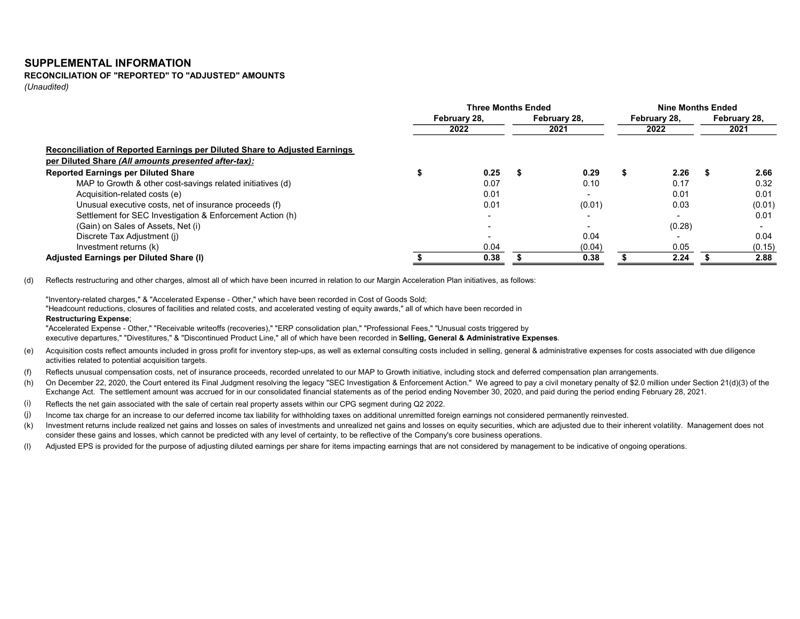#### SUPPLEMENTAL INFORMATION

# RECONCILIATION OF "REPORTED" TO "ADJUSTED" AMOUNTS

(Unaudited)

|                                                                            | <b>Three Months Ended</b> |      |              |        | <b>Nine Months Ended</b> |        |              |        |
|----------------------------------------------------------------------------|---------------------------|------|--------------|--------|--------------------------|--------|--------------|--------|
|                                                                            | February 28,              |      | February 28, |        | February 28,             |        | February 28, |        |
|                                                                            |                           | 2022 |              | 2021   |                          | 2022   |              | 2021   |
| Reconciliation of Reported Earnings per Diluted Share to Adjusted Earnings |                           |      |              |        |                          |        |              |        |
| per Diluted Share (All amounts presented after-tax):                       |                           |      |              |        |                          |        |              |        |
| <b>Reported Earnings per Diluted Share</b>                                 |                           | 0.25 |              | 0.29   |                          | 2.26   |              | 2.66   |
| MAP to Growth & other cost-savings related initiatives (d)                 |                           | 0.07 |              | 0.10   |                          | 0.17   |              | 0.32   |
| Acquisition-related costs (e)                                              |                           | 0.01 |              |        |                          | 0.01   |              | 0.01   |
| Unusual executive costs, net of insurance proceeds (f)                     |                           | 0.01 |              | (0.01) |                          | 0.03   |              | (0.01) |
| Settlement for SEC Investigation & Enforcement Action (h)                  |                           |      |              |        |                          |        |              | 0.01   |
| (Gain) on Sales of Assets, Net (i)                                         |                           |      |              |        |                          | (0.28) |              |        |
| Discrete Tax Adjustment (i)                                                |                           |      |              | 0.04   |                          |        |              | 0.04   |
| Investment returns (k)                                                     |                           | 0.04 |              | (0.04) |                          | 0.05   |              | (0.15) |
| Adjusted Earnings per Diluted Share (I)                                    |                           | 0.38 |              | 0.38   |                          | 2.24   |              | 2.88   |

(d) Reflects restructuring and other charges, almost all of which have been incurred in relation to our Margin Acceleration Plan initiatives, as follows:

"Inventory-related charges," & "Accelerated Expense - Other," which have been recorded in Cost of Goods Sold;

"Headcount reductions, closures of facilities and related costs, and accelerated vesting of equity awards," all of which have been recorded in Restructuring Expense;

"Accelerated Expense - Other," "Receivable writeoffs (recoveries)," "ERP consolidation plan," "Professional Fees," "Unusual costs triggered by executive departures," "Divestitures," & "Discontinued Product Line," all of which have been recorded in Selling, General & Administrative Expenses.

- (e) Acquisition costs reflect amounts included in gross profit for inventory step-ups, as well as external consulting costs included in selling, general & administrative expenses for costs associated with due diligence activities related to potential acquisition targets.
- (f) Reflects unusual compensation costs, net of insurance proceeds, recorded unrelated to our MAP to Growth initiative, including stock and deferred compensation plan arrangements.
- (h) On December 22, 2020, the Court entered its Final Judgment resolving the legacy "SEC Investigation & Enforcement Action." We agreed to pay a civil monetary penalty of \$2.0 million under Section 21(d)(3) of the Exchange Act. The settlement amount was accrued for in our consolidated financial statements as of the period ending November 30, 2020, and paid during the period ending February 28, 2021.
- (i) Reflects the net gain associated with the sale of certain real property assets within our CPG segment during Q2 2022.
- (j) Income tax charge for an increase to our deferred income tax liability for withholding taxes on additional unremitted foreign earnings not considered permanently reinvested.
- (k) Investment returns include realized net gains and losses on sales of investments and unrealized net gains and losses on equity securities, which are adjusted due to their inherent volatility. Management does not consider these gains and losses, which cannot be predicted with any level of certainty, to be reflective of the Company's core business operations.
- (l) Adjusted EPS is provided for the purpose of adjusting diluted earnings per share for items impacting earnings that are not considered by management to be indicative of ongoing operations.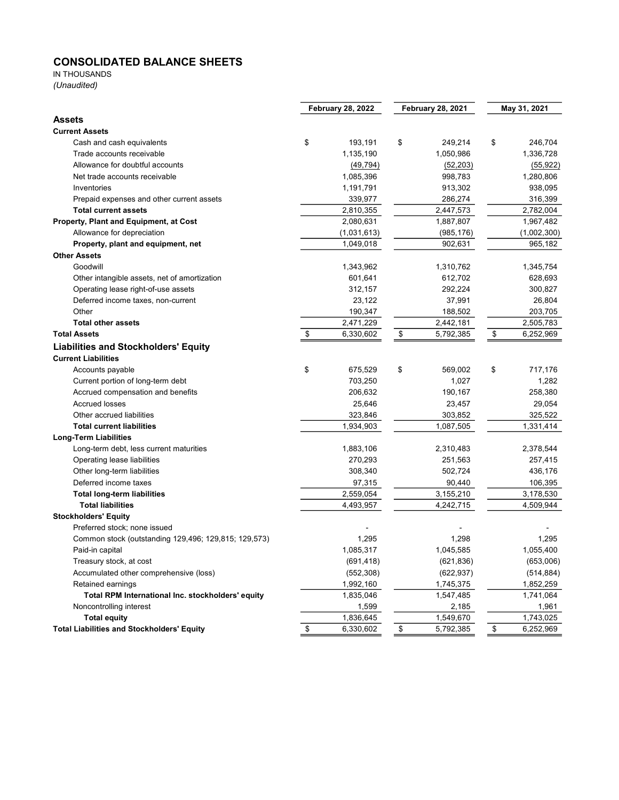### CONSOLIDATED BALANCE SHEETS

## IN THOUSANDS

(Unaudited)

|                                                      | <b>February 28, 2022</b> |             | <b>February 28, 2021</b> |            | May 31, 2021 |             |  |
|------------------------------------------------------|--------------------------|-------------|--------------------------|------------|--------------|-------------|--|
| <b>Assets</b>                                        |                          |             |                          |            |              |             |  |
| <b>Current Assets</b>                                |                          |             |                          |            |              |             |  |
| Cash and cash equivalents                            | \$                       | 193,191     | \$                       | 249,214    | \$           | 246,704     |  |
| Trade accounts receivable                            |                          | 1,135,190   |                          | 1,050,986  |              | 1,336,728   |  |
| Allowance for doubtful accounts                      |                          | (49, 794)   |                          | (52, 203)  |              | (55, 922)   |  |
| Net trade accounts receivable                        |                          | 1,085,396   |                          | 998,783    |              | 1,280,806   |  |
| Inventories                                          |                          | 1,191,791   |                          | 913,302    |              | 938,095     |  |
| Prepaid expenses and other current assets            |                          | 339,977     |                          | 286,274    |              | 316,399     |  |
| <b>Total current assets</b>                          |                          | 2,810,355   |                          | 2,447,573  |              | 2,782,004   |  |
| Property, Plant and Equipment, at Cost               |                          | 2,080,631   |                          | 1,887,807  |              | 1,967,482   |  |
| Allowance for depreciation                           |                          | (1,031,613) |                          | (985,176)  |              | (1,002,300) |  |
| Property, plant and equipment, net                   |                          | 1,049,018   |                          | 902,631    |              | 965,182     |  |
| <b>Other Assets</b>                                  |                          |             |                          |            |              |             |  |
| Goodwill                                             |                          | 1,343,962   |                          | 1,310,762  |              | 1,345,754   |  |
| Other intangible assets, net of amortization         |                          | 601,641     |                          | 612,702    |              | 628,693     |  |
| Operating lease right-of-use assets                  |                          | 312,157     |                          | 292,224    |              | 300,827     |  |
| Deferred income taxes, non-current                   |                          | 23,122      |                          | 37,991     |              | 26,804      |  |
| Other                                                |                          | 190,347     |                          | 188,502    |              | 203,705     |  |
| <b>Total other assets</b>                            |                          | 2,471,229   |                          | 2,442,181  |              | 2,505,783   |  |
| <b>Total Assets</b>                                  | \$                       | 6,330,602   | \$                       | 5,792,385  | \$           | 6,252,969   |  |
| <b>Liabilities and Stockholders' Equity</b>          |                          |             |                          |            |              |             |  |
| <b>Current Liabilities</b>                           |                          |             |                          |            |              |             |  |
| Accounts payable                                     | \$                       | 675,529     | \$                       | 569,002    | \$           | 717,176     |  |
| Current portion of long-term debt                    |                          | 703,250     |                          | 1,027      |              | 1,282       |  |
| Accrued compensation and benefits                    |                          | 206,632     |                          | 190,167    |              | 258,380     |  |
| <b>Accrued losses</b>                                |                          | 25,646      |                          | 23,457     |              | 29,054      |  |
| Other accrued liabilities                            |                          | 323,846     |                          | 303,852    |              | 325,522     |  |
| <b>Total current liabilities</b>                     |                          | 1,934,903   |                          | 1,087,505  |              | 1,331,414   |  |
| <b>Long-Term Liabilities</b>                         |                          |             |                          |            |              |             |  |
| Long-term debt, less current maturities              |                          | 1,883,106   |                          | 2,310,483  |              | 2,378,544   |  |
| Operating lease liabilities                          |                          | 270,293     |                          | 251,563    |              | 257,415     |  |
| Other long-term liabilities                          |                          | 308,340     |                          | 502,724    |              | 436,176     |  |
| Deferred income taxes                                |                          | 97,315      |                          | 90,440     |              | 106,395     |  |
| <b>Total long-term liabilities</b>                   |                          | 2,559,054   |                          | 3,155,210  |              | 3,178,530   |  |
| <b>Total liabilities</b>                             |                          | 4,493,957   |                          | 4,242,715  |              | 4,509,944   |  |
| <b>Stockholders' Equity</b>                          |                          |             |                          |            |              |             |  |
| Preferred stock; none issued                         |                          |             |                          |            |              |             |  |
| Common stock (outstanding 129,496; 129,815; 129,573) |                          | 1,295       |                          | 1,298      |              | 1,295       |  |
| Paid-in capital                                      |                          | 1,085,317   |                          | 1,045,585  |              | 1.055.400   |  |
| Treasury stock, at cost                              |                          | (691, 418)  |                          | (621, 836) |              | (653,006)   |  |
| Accumulated other comprehensive (loss)               |                          | (552, 308)  |                          | (622, 937) |              | (514, 884)  |  |
| Retained earnings                                    |                          | 1,992,160   |                          | 1,745,375  |              | 1,852,259   |  |
| Total RPM International Inc. stockholders' equity    |                          | 1,835,046   |                          | 1,547,485  |              | 1,741,064   |  |
| Noncontrolling interest                              |                          | 1,599       |                          | 2,185      |              | 1,961       |  |
| <b>Total equity</b>                                  |                          | 1,836,645   |                          | 1,549,670  |              | 1,743,025   |  |
| <b>Total Liabilities and Stockholders' Equity</b>    | \$                       | 6,330,602   | \$                       | 5,792,385  | \$           | 6,252,969   |  |